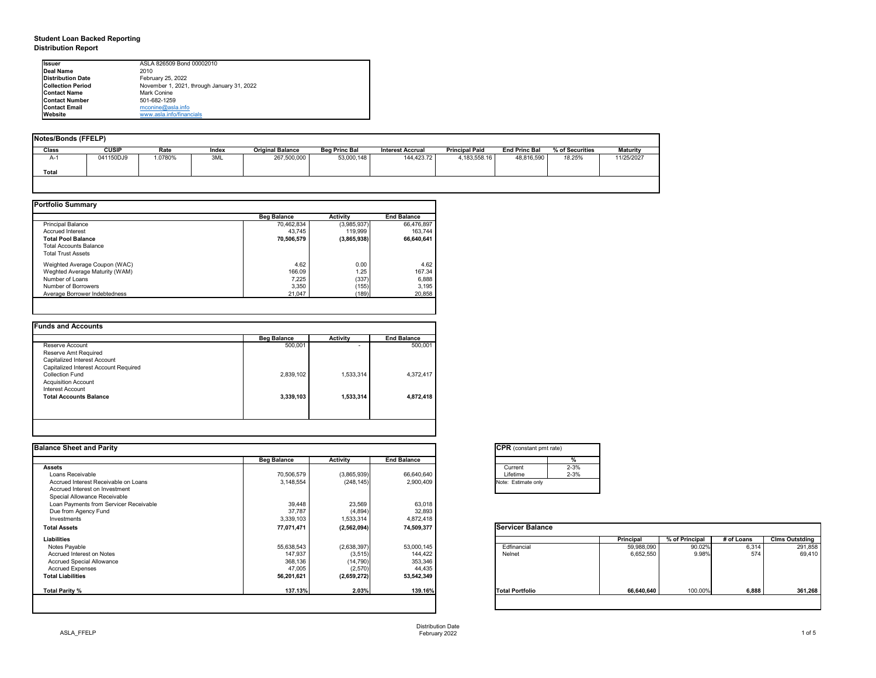## **Student Loan Backed Reporting Distribution Report**

| Notes/Bonds (FFELP) |              |        |       |                         |                      |                         |                       |                      |                 |                 |
|---------------------|--------------|--------|-------|-------------------------|----------------------|-------------------------|-----------------------|----------------------|-----------------|-----------------|
| <b>Class</b>        | <b>CUSIP</b> | Rate   | Index | <b>Original Balance</b> | <b>Beg Princ Bal</b> | <b>Interest Accrual</b> | <b>Principal Paid</b> | <b>End Princ Bal</b> | % of Securities | <b>Maturity</b> |
| A-1                 | 041150DJ9    | .0780% | 3ML   | 267,500,000             | 53,000,148           | 144,423.72              | 4,183,558.16          | 48,816,590           | 18.25%          | 11/25/2027      |
| Total               |              |        |       |                         |                      |                         |                       |                      |                 |                 |
|                     |              |        |       |                         |                      |                         |                       |                      |                 |                 |

|                                | <b>Beg Balance</b> | <b>Activity</b> | <b>End Balance</b> |
|--------------------------------|--------------------|-----------------|--------------------|
| <b>Principal Balance</b>       | 70,462,834         | (3,985,937)     | 66,476,897         |
| <b>Accrued Interest</b>        | 43,745             | 119,999         | 163,744            |
| <b>Total Pool Balance</b>      | 70,506,579         | (3,865,938)     | 66,640,641         |
| <b>Total Accounts Balance</b>  |                    |                 |                    |
| <b>Total Trust Assets</b>      |                    |                 |                    |
| Weighted Average Coupon (WAC)  | 4.62               | 0.00            | 4.62               |
| Weghted Average Maturity (WAM) | 166.09             | 1.25            | 167.34             |
| Number of Loans                | 7,225              | (337)           | 6,888              |
| Number of Borrowers            | 3,350              | (155)           | 3,195              |
| Average Borrower Indebtedness  | 21,047             | (189)           | 20,858             |

|                                       | <b>Beg Balance</b> | <b>Activity</b>          | <b>End Balance</b> |
|---------------------------------------|--------------------|--------------------------|--------------------|
| Reserve Account                       | 500,001            | $\overline{\phantom{0}}$ | 500,001            |
| Reserve Amt Required                  |                    |                          |                    |
| Capitalized Interest Account          |                    |                          |                    |
| Capitalized Interest Account Required |                    |                          |                    |
| <b>Collection Fund</b>                | 2,839,102          | 1,533,314                | 4,372,417          |
| <b>Acquisition Account</b>            |                    |                          |                    |
| Interest Account                      |                    |                          |                    |
| <b>Total Accounts Balance</b>         | 3,339,103          | 1,533,314                | 4,872,418          |
|                                       |                    |                          |                    |
|                                       |                    |                          |                    |

| <b>Ilssuer</b>           | ASLA 826509 Bond 00002010                  |
|--------------------------|--------------------------------------------|
| <b>IDeal Name</b>        | 2010                                       |
| Distribution Date        | February 25, 2022                          |
| <b>Collection Period</b> | November 1, 2021, through January 31, 2022 |
| <b>IContact Name</b>     | Mark Conine                                |
| <b>IContact Number</b>   | 501-682-1259                               |
| <b>Contact Email</b>     | mconine@asla.info                          |
| <b>IWebsite</b>          | www.asla.info/financials                   |

| <b>Balance Sheet and Parity</b>        |                    |                 |                    | <b>CPR</b> (constant pmt rate) |                  |                |            |                       |
|----------------------------------------|--------------------|-----------------|--------------------|--------------------------------|------------------|----------------|------------|-----------------------|
|                                        | <b>Beg Balance</b> | <b>Activity</b> | <b>End Balance</b> | ℅                              |                  |                |            |                       |
| <b>Assets</b>                          |                    |                 |                    | $2 - 3%$<br>Current            |                  |                |            |                       |
| Loans Receivable                       | 70,506,579         | (3,865,939)     | 66,640,640         | $2 - 3%$<br>Lifetime           |                  |                |            |                       |
| Accrued Interest Receivable on Loans   | 3,148,554          | (248, 145)      | 2,900,409          | Note: Estimate only            |                  |                |            |                       |
| Accrued Interest on Investment         |                    |                 |                    |                                |                  |                |            |                       |
| Special Allowance Receivable           |                    |                 |                    |                                |                  |                |            |                       |
| Loan Payments from Servicer Receivable | 39,448             | 23,569          | 63,018             |                                |                  |                |            |                       |
| Due from Agency Fund                   | 37,787             | (4,894)         | 32,893             |                                |                  |                |            |                       |
| Investments                            | 3,339,103          | 1,533,314       | 4,872,418          |                                |                  |                |            |                       |
| <b>Total Assets</b>                    | 77,071,471         | (2,562,094)     | 74,509,377         | <b>Servicer Balance</b>        |                  |                |            |                       |
| <b>Liabilities</b>                     |                    |                 |                    |                                | <b>Principal</b> | % of Principal | # of Loans | <b>Clms Outstding</b> |
| Notes Payable                          | 55,638,543         | (2,638,397)     | 53,000,145         | Edfinancial                    | 59,988,090       | 90.02%         | 6,314      | 291,858               |
| <b>Accrued Interest on Notes</b>       | 147,937            | (3, 515)        | 144,422            | Nelnet                         | 6,652,550        | 9.98%          | 574        | 69,410                |
| <b>Accrued Special Allowance</b>       | 368,136            | (14, 790)       | 353,346            |                                |                  |                |            |                       |
| <b>Accrued Expenses</b>                | 47,005             | (2,570)         | 44,435             |                                |                  |                |            |                       |
| <b>Total Liabilities</b>               | 56,201,621         | (2,659,272)     | 53,542,349         |                                |                  |                |            |                       |
| <b>Total Parity %</b>                  | 137.13%            | 2.03%           | 139.16%            | <b>Total Portfolio</b>         | 66,640,640       | 100.00%        | 6,888      | 361,268               |

| CPR (cons    |
|--------------|
|              |
| Current      |
| Lifetime     |
| Note: Estima |
|              |

| Servicer |
|----------|
|----------|

Distribution Date February 2022 1 of 5

| tant pmt rate) |          |
|----------------|----------|
|                | %        |
|                | $2 - 3%$ |
|                | $2 - 3%$ |
| te only        |          |
|                |          |

|     | Principal  | % of Principal | # of Loans | <b>Clms Outstding</b> |
|-----|------------|----------------|------------|-----------------------|
|     | 59,988,090 | 90.02%         | 6,314      | 291,858               |
|     | 6,652,550  | 9.98%          | 574        | 69,410                |
|     |            |                |            |                       |
| lio | 66,640,640 | 100.00%        | 6,888      | 361,268               |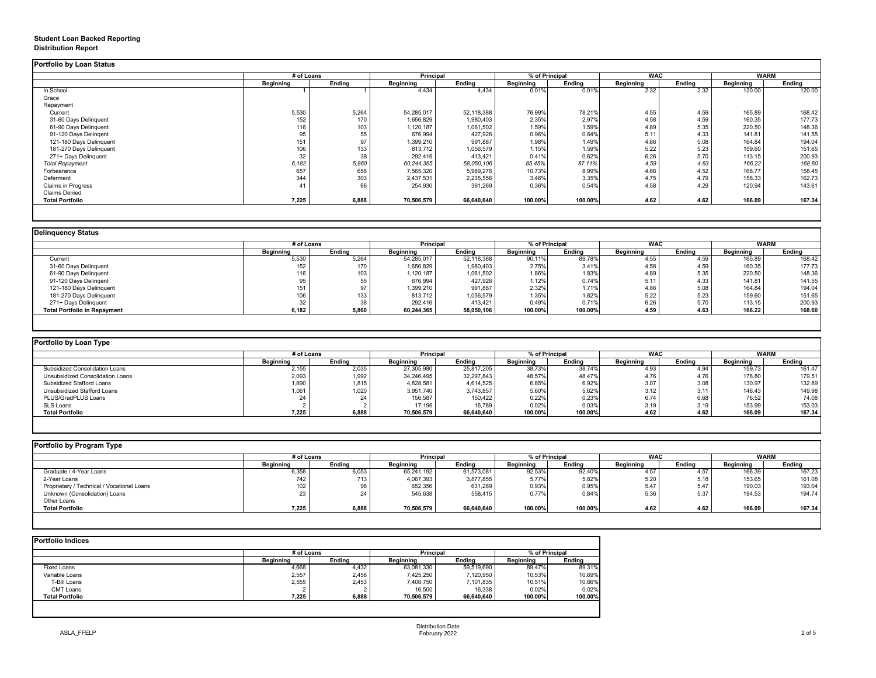## **Student Loan Backed Reporting Distribution Report**

### **Delinquency Status**

|                           |                  | # of Loans    |                  | <b>Principal</b> | % of Principal   |               | <b>WAC</b>       |               | <b>WARM</b>      |               |
|---------------------------|------------------|---------------|------------------|------------------|------------------|---------------|------------------|---------------|------------------|---------------|
|                           | <b>Beginning</b> | <b>Ending</b> | <b>Beginning</b> | <b>Ending</b>    | <b>Beginning</b> | <b>Ending</b> | <b>Beginning</b> | <b>Ending</b> | <b>Beginning</b> | <b>Ending</b> |
| In School                 |                  |               | 4,434            | 4,434            | 0.01%            | 0.01%         | 2.32             | 2.32          | 120.00           | 120.00        |
| Grace                     |                  |               |                  |                  |                  |               |                  |               |                  |               |
| Repayment                 |                  |               |                  |                  |                  |               |                  |               |                  |               |
| Current                   | 5,530            | 5,264         | 54,285,017       | 52,118,388       | 76.99%           | 78.21%        | 4.55             | 4.59          | 165.89           | 168.42        |
| 31-60 Days Delinquent     | 152              | 170           | 1,656,829        | 1,980,403        | 2.35%            | 2.97%         | 4.58             | 4.59          | 160.35           | 177.73        |
| 61-90 Days Delinquent     | 116              | 103           | 1,120,187        | 1,061,502        | 1.59%            | 1.59%         | 4.89             | 5.35          | 220.50           | 148.36        |
| 91-120 Days Delingent     | 95               | 55            | 676,994          | 427,926          | 0.96%            | 0.64%         | 5.11             | 4.33          | 141.81           | 141.55        |
| 121-180 Days Delinquent   | 151              | 97            | 1,399,210        | 991,887          | 1.98%            | 1.49%         | 4.86             | 5.08          | 164.84           | 194.04        |
| 181-270 Days Delinquent   | 106              | 133           | 813,712          | 1,056,579        | 1.15%            | 1.59%         | 5.22             | 5.23          | 159.60           | 151.65        |
| 271+ Days Delinquent      | 32               | 38            | 292,416          | 413,421          | 0.41%            | 0.62%         | 6.26             | 5.70          | 113.15           | 200.93        |
| <b>Total Repayment</b>    | 6,182            | 5,860         | 60,244,365       | 58,050,106       | 85.45%           | 87.11%        | 4.59             | 4.63          | 166.22           | 168.60        |
| Forbearance               | 657              | 658           | 7,565,320        | 5,989,276        | 10.73%           | 8.99%         | 4.86             | 4.52          | 168.77           | 158.45        |
| Deferment                 | 344              | 303           | 2,437,531        | 2,235,556        | 3.46%            | 3.35%         | 4.75             | 4.79          | 158.33           | 162.73        |
| <b>Claims in Progress</b> | 41               | 66            | 254,930          | 361,269          | 0.36%            | 0.54%         | 4.58             | 4.29          | 120.94           | 143.61        |
| <b>Claims Denied</b>      |                  |               |                  |                  |                  |               |                  |               |                  |               |
| <b>Total Portfolio</b>    | 7,225            | 6,888         | 70,506,579       | 66,640,640       | 100.00%          | 100.00%       | 4.62             | 4.62          | 166.09           | 167.34        |

|                                     |                  | # of Loans    |                  | <b>Principal</b> | % of Principal   |               | <b>WAC</b>       |               | <b>WARM</b>      |               |
|-------------------------------------|------------------|---------------|------------------|------------------|------------------|---------------|------------------|---------------|------------------|---------------|
|                                     | <b>Beginning</b> | <b>Ending</b> | <b>Beginning</b> | <b>Ending</b>    | <b>Beginning</b> | <b>Ending</b> | <b>Beginning</b> | <b>Ending</b> | <b>Beginning</b> | <b>Ending</b> |
| Current                             | 5,530            | 5,264         | 54,285,017       | 52,118,388       | 90.11%           | 89.78%        | 4.55             | 4.59          | 165.89           | 168.42        |
| 31-60 Days Delinquent               | 152              | 170           | 1,656,829        | 1,980,403        | 2.75%            | 3.41%         | 4.58             | 4.59          | 160.35           | 177.73        |
| 61-90 Days Delinquent               | 116              | 103           | 1,120,187        | 1,061,502        | 1.86%            | 1.83%         | 4.89             | 5.35          | 220.50           | 148.36        |
| 91-120 Days Delingent               | 95               | 55            | 676,994          | 427,926          | 1.12%            | 0.74%         | 5.11             | 4.33          | 141.81           | 141.55        |
| 121-180 Days Delinquent             | 151              |               | 1,399,210        | 991,887          | 2.32%            | 1.71%         | 4.86             | 5.08          | 164.84           | 194.04        |
| 181-270 Days Delinquent             | 106              | 133           | 813,712          | 1,056,579        | 1.35%            | 1.82%         | 5.22             | 5.23          | 159.60           | 151.65        |
| 271+ Days Delinquent                | 32               | 38            | 292,416          | 413,421          | 0.49%            | 0.71%         | 6.26             | 5.70          | 113.15           | 200.93        |
| <b>Total Portfolio in Repayment</b> | 6,182            | 5,860         | 60,244,365       | 58,050,106       | 100.00%          | 100.00%       | 4.59             | 4.63          | 166.22           | 168.60        |

| <b>Portfolio by Program Type</b> |  |  |
|----------------------------------|--|--|

| Portfolio by Loan Type                  |                  |               |                  |               |                  |               |                  |               |                  |               |
|-----------------------------------------|------------------|---------------|------------------|---------------|------------------|---------------|------------------|---------------|------------------|---------------|
|                                         | # of Loans       |               | <b>Principal</b> |               | % of Principal   |               | <b>WAC</b>       |               | WARM             |               |
|                                         | <b>Beginning</b> | <b>Ending</b> | <b>Beginning</b> | <b>Ending</b> | <b>Beginning</b> | <b>Ending</b> | <b>Beginning</b> | <b>Ending</b> | <b>Beginning</b> | <b>Ending</b> |
| <b>Subsidized Consolidation Loans</b>   | 2,155            | 2,035         | 27,305,980       | 25,817,205    | 38.73%           | 38.74%        | 4.93             | 4.94          | 159.73           | 161.47        |
| <b>Unsubsidized Consolidation Loans</b> | 2,093            | 1,992         | 34,246,495       | 32,297,843    | 48.57%           | 48.47%        | 4.76             | 4.76          | 178.80           | 179.51        |
| <b>Subsidized Stafford Loans</b>        | 1,890            | 1,815         | 4,828,581        | 4,614,525     | 6.85%            | 6.92%         | 3.07             | 3.08          | 130.97           | 132.89        |
| Unsubsidized Stafford Loans             | 1,061            | ,020,         | 3,951,740        | 3,743,857     | 5.60%            | 5.62%         | 3.12             | 3.11          | 146.43           | 149.98        |
| PLUS/GradPLUS Loans                     |                  |               | 156,587          | 150,422       | 0.22%            | 0.23%         | 6.74             | 6.68          | 76.52            | 74.08         |
| SLS Loans                               |                  |               | 17,196           | 16,789        | 0.02%            | 0.03%         | 3.19             | 3.19          | 153.99           | 153.03        |
| <b>Total Portfolio</b>                  | 7,225            | 6,888         | 70,506,579       | 66,640,640    | 100.00%          | 100.00%       | 4.62             | 4.62          | 166.09           | 167.34        |

| Portfolio by Program Type                  |                  |               |                  |                  |                  |                | <b>WAC</b>       |               |                  |               |
|--------------------------------------------|------------------|---------------|------------------|------------------|------------------|----------------|------------------|---------------|------------------|---------------|
|                                            |                  | # of Loans    |                  | <b>Principal</b> |                  | % of Principal |                  |               | WARM             |               |
|                                            | <b>Beginning</b> | <b>Ending</b> | <b>Beginning</b> | <b>Ending</b>    | <b>Beginning</b> | <b>Ending</b>  | <b>Beginning</b> | <b>Ending</b> | <b>Beginning</b> | <b>Ending</b> |
| Graduate / 4-Year Loans                    | 6,358            | 6,053         | 65,241,192       | 61,573,081       | 92.53%           | 92.40%         | 4.57             | 4.57          | 166.39           | 167.23        |
| 2-Year Loans                               | 742              | 713           | 4,067,393        | 3,877,855        | 5.77%            | 5.82%          | 5.20             | 5.18          | 153.65           | 161.08        |
| Proprietary / Technical / Vocational Loans | 102              | 98            | 652,356          | 631,289          | 0.93%            | 0.95%          | 5.47             | 5.47          | 190.03           | 193.04        |
| Unknown (Consolidation) Loans              | 23               | 24            | 545,638          | 558,415          | 0.77%            | 0.84%          | 5.36             | 5.37          | 194.53           | 194.74        |
| <b>Other Loans</b>                         |                  |               |                  |                  |                  |                |                  |               |                  |               |
| <b>Total Portfolio</b>                     | 7,225            | 6,888         | 70,506,579       | 66,640,640       | 100.00%          | 100.00%        | 4.62             | 4.62          | 166.09           | 167.34        |
|                                            |                  |               |                  |                  |                  |                |                  |               |                  |               |

|                        |                  | # of Loans    |                  |               | % of Principal   |               |
|------------------------|------------------|---------------|------------------|---------------|------------------|---------------|
|                        | <b>Beginning</b> | <b>Ending</b> | <b>Beginning</b> | <b>Ending</b> | <b>Beginning</b> | <b>Ending</b> |
| <b>Fixed Loans</b>     | 4,668            | 4,432         | 63,081,330       | 59,519,690    | 89.47%           | 89.31%        |
| Variable Loans         | 2,557            | 2,456         | 7,425,250        | 7,120,950     | 10.53%           | 10.69%        |
| T-Bill Loans           | 2,555            | 2,453         | 7,408,750        | 7,101,835     | 10.51%           | 10.66%        |
| <b>CMT Loans</b>       |                  |               | 16,500           | 16,338        | 0.02%            | 0.02%         |
| <b>Total Portfolio</b> | 7,225            | 6,888         | 70,506,579       | 66,640,640    | 100.00%          | 100.00%       |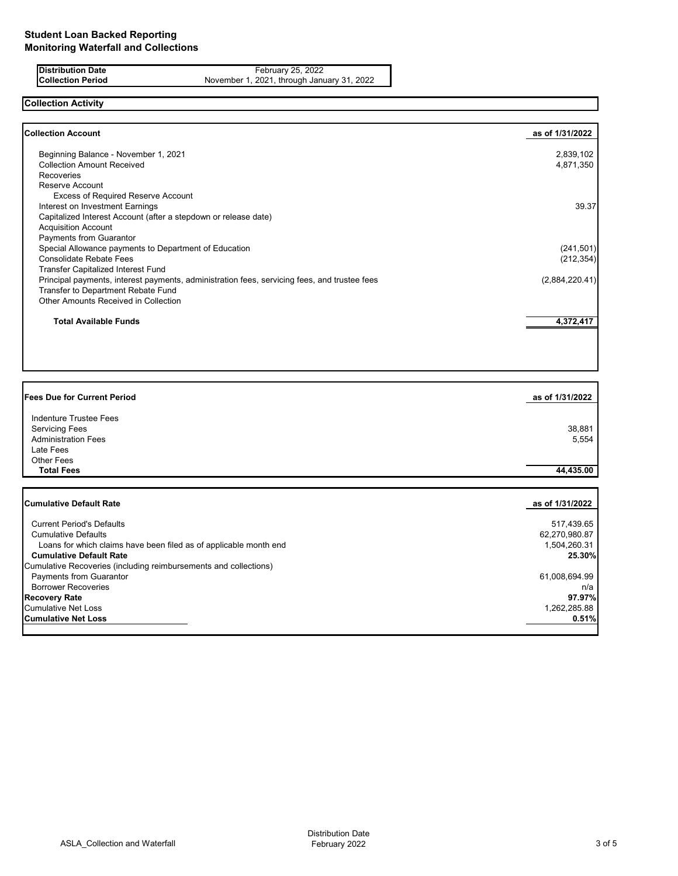**Distribution Date** February 25, 2022<br>**Collection Period** November 1, 2021, through Janu **Collection Period** November 1, 2021, through January 31, 2022

# **Collection Activity**

| <b>Collection Account</b>                                                                    | as of 1/31/2022 |
|----------------------------------------------------------------------------------------------|-----------------|
| Beginning Balance - November 1, 2021                                                         | 2,839,102       |
| <b>Collection Amount Received</b>                                                            | 4,871,350       |
| <b>Recoveries</b>                                                                            |                 |
| Reserve Account                                                                              |                 |
| <b>Excess of Required Reserve Account</b>                                                    |                 |
| Interest on Investment Earnings                                                              | 39.37           |
| Capitalized Interest Account (after a stepdown or release date)                              |                 |
| <b>Acquisition Account</b>                                                                   |                 |
| <b>Payments from Guarantor</b>                                                               |                 |
| Special Allowance payments to Department of Education                                        | (241, 501)      |
| <b>Consolidate Rebate Fees</b>                                                               | (212, 354)      |
| <b>Transfer Capitalized Interest Fund</b>                                                    |                 |
| Principal payments, interest payments, administration fees, servicing fees, and trustee fees | (2,884,220.41)  |
| Transfer to Department Rebate Fund                                                           |                 |
| <b>Other Amounts Received in Collection</b>                                                  |                 |
| <b>Total Available Funds</b>                                                                 | 4,372,417       |
|                                                                                              |                 |

| <b>Fees Due for Current Period</b>                                                                                     | as of 1/31/2022 |
|------------------------------------------------------------------------------------------------------------------------|-----------------|
| <b>Indenture Trustee Fees</b><br><b>Servicing Fees</b><br><b>Administration Fees</b><br>Late Fees<br><b>Other Fees</b> | 38,881<br>5,554 |
| <b>Total Fees</b>                                                                                                      | 44,435.00       |
|                                                                                                                        |                 |
| <b>Cumulative Default Rate</b>                                                                                         | as of 1/31/2022 |
| <b>Current Period's Defaults</b>                                                                                       | 517,439.65      |
| <b>Cumulative Defaults</b>                                                                                             | 62,270,980.87   |
| Loans for which claims have been filed as of applicable month end                                                      | 1,504,260.31    |
| <b>Cumulative Default Rate</b>                                                                                         | 25.30%          |
| Cumulative Recoveries (including reimbursements and collections)                                                       |                 |
| <b>Payments from Guarantor</b>                                                                                         | 61,008,694.99   |
| <b>Borrower Recoveries</b>                                                                                             | n/a             |
| <b>Recovery Rate</b>                                                                                                   | 97.97%          |
| <b>Cumulative Net Loss</b>                                                                                             | 1,262,285.88    |
| <b>Cumulative Net Loss</b>                                                                                             | 0.51%           |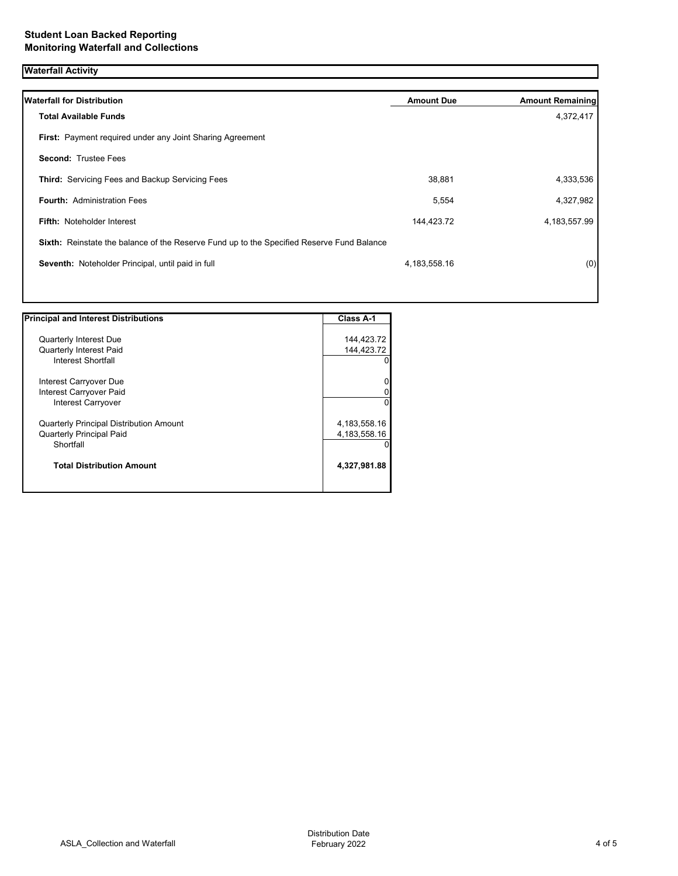## **Waterfall Activity**

| <b>Waterfall for Distribution</b>                                                         | <b>Amount Due</b> | <b>Amount Remaining</b> |
|-------------------------------------------------------------------------------------------|-------------------|-------------------------|
| <b>Total Available Funds</b>                                                              |                   | 4,372,417               |
| First: Payment required under any Joint Sharing Agreement                                 |                   |                         |
| <b>Second: Trustee Fees</b>                                                               |                   |                         |
| <b>Third:</b> Servicing Fees and Backup Servicing Fees                                    | 38,881            | 4,333,536               |
| <b>Fourth: Administration Fees</b>                                                        | 5,554             | 4,327,982               |
| <b>Fifth: Noteholder Interest</b>                                                         | 144,423.72        | 4, 183, 557. 99         |
| Sixth: Reinstate the balance of the Reserve Fund up to the Specified Reserve Fund Balance |                   |                         |
| Seventh: Noteholder Principal, until paid in full                                         | 4,183,558.16      | (0)                     |
|                                                                                           |                   |                         |

| <b>Principal and Interest Distributions</b>    | <b>Class A-1</b> |
|------------------------------------------------|------------------|
|                                                |                  |
| <b>Quarterly Interest Due</b>                  | 144,423.72       |
| <b>Quarterly Interest Paid</b>                 | 144,423.72       |
| Interest Shortfall                             |                  |
| Interest Carryover Due                         |                  |
| Interest Carryover Paid                        |                  |
| Interest Carryover                             | 0                |
| <b>Quarterly Principal Distribution Amount</b> | 4, 183, 558. 16  |
| <b>Quarterly Principal Paid</b>                | 4, 183, 558. 16  |
| Shortfall                                      |                  |
| <b>Total Distribution Amount</b>               | 4,327,981.88     |
|                                                |                  |